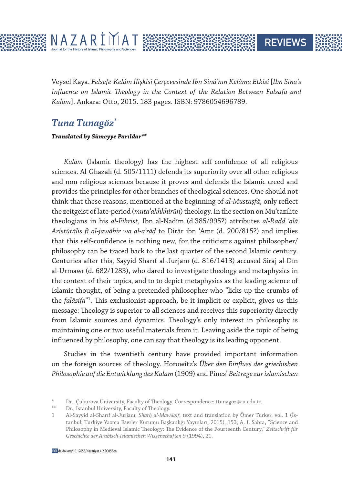

Veysel Kaya. *Felsefe-Kelâm İlişkisi Çerçevesinde İbn Sînâ'nın Kelâma Etkisi* [*Ibn Sīnā's Influence on Islamic Theology in the Context of the Relation Between Falsafa and Kalām*]. Ankara: Otto, 2015. 183 pages. ISBN: 9786054696789.

**REVIEWS** 

## *Tuna Tunagöz\**

## **Translated by Sümeyye Parıldar\*\***

*Kalām* (Islamic theology) has the highest self-confidence of all religious sciences. Al-Ghazālī (d. 505/1111) defends its superiority over all other religious and non-religious sciences because it proves and defends the Islamic creed and provides the principles for other branches of theological sciences. One should not think that these reasons, mentioned at the beginning of *al-Mustaṣfā*, only reflect the zeitgeist of late-period (*mutaʾakhkhirūn*) theology. In the section on Muʿtazilite theologians in his *al-Fihrist*, Ibn al-Nadīm (d.385/995?) attributes *al-Radd ʿalā Aristūtālis fī al-jawāhir wa al-aʿrāḍ* to Ḍirār ibn ʿAmr (d. 200/815?) and implies that this self-confidence is nothing new, for the criticisms against philosopher/ philosophy can be traced back to the last quarter of the second Islamic century. Centuries after this, Sayyid Sharīf al-Jurjānī (d. 816/1413) accused Sirāj al-Dīn al-Urmawī (d. 682/1283), who dared to investigate theology and metaphysics in the context of their topics, and to to depict metaphysics as the leading science of Islamic thought, of being a pretended philosopher who "licks up the crumbs of the *falāsifa*"1 . This exclusionist approach, be it implicit or explicit, gives us this message: Theology is superior to all sciences and receives this superiority directly from Islamic sources and dynamics. Theology's only interest in philosophy is maintaining one or two useful materials from it. Leaving aside the topic of being influenced by philosophy, one can say that theology is its leading opponent.

Studies in the twentieth century have provided important information on the foreign sources of theology. Horowitz's *Über den Einfluss der griechishen Philosophie auf die Entwicklung des Kalam* (1909) and Pines' *Beitrege zur islamischen* 

<sup>\*</sup> Dr., Çukurova University, Faculty of Theology. Correspondence: ttunagoz@cu.edu.tr.

Dr., Istanbul University, Faculty of Theology.

<sup>1</sup> Al-Sayyid al-Sharīf al-Jurjānī, *Sharḥ al-Mawāqif*, text and translation by Ömer Türker, vol. 1 (İstanbul: Türkiye Yazma Eserler Kurumu Başkanlığı Yayınları, 2015), 153; A. I. Sabra, "Science and Philosophy in Medieval Islamic Theology: The Evidence of the Fourteenth Century," *Zeitschrift für Geschichte der Arabisch-Islamischen Wissenschaften* 9 (1994), 21.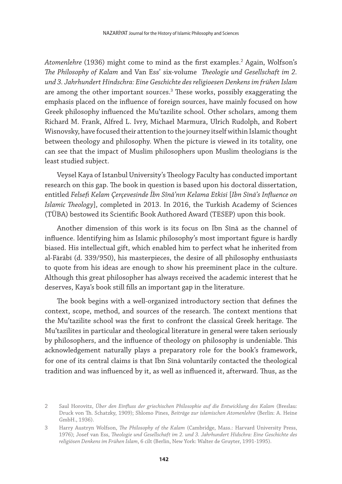*Atomenlehre* (1936) might come to mind as the first examples.2 Again, Wolfson's *The Philosophy of Kalam* and Van Ess' six-volume *Theologie und Gesellschaft im 2. und 3. Jahrhundert Hindschra: Eine Geschichte des religioesen Denkens im frühen Islam* are among the other important sources. $^3$  These works, possibly exaggerating the emphasis placed on the influence of foreign sources, have mainly focused on how Greek philosophy influenced the Muʿtazilite school. Other scholars, among them Richard M. Frank, Alfred L. Ivry, Michael Marmura, Ulrich Rudolph, and Robert Wisnovsky, have focused their attention to the journey itself within Islamic thought between theology and philosophy. When the picture is viewed in its totality, one can see that the impact of Muslim philosophers upon Muslim theologians is the least studied subject.

Veysel Kaya of Istanbul University's Theology Faculty has conducted important research on this gap. The book in question is based upon his doctoral dissertation, entitled *Felsefi Kelam Çerçevesinde İbn Sînâ'nın Kelama Etkisi* [*Ibn Sīnā's Influence on Islamic Theology*], completed in 2013. In 2016, the Turkish Academy of Sciences (TÜBA) bestowed its Scientific Book Authored Award (TESEP) upon this book.

Another dimension of this work is its focus on Ibn Sīnā as the channel of influence. Identifying him as Islamic philosophy's most important figure is hardly biased. His intellectual gift, which enabled him to perfect what he inherited from al-Fārābī (d. 339/950), his masterpieces, the desire of all philosophy enthusiasts to quote from his ideas are enough to show his preeminent place in the culture. Although this great philosopher has always received the academic interest that he deserves, Kaya's book still fills an important gap in the literature.

The book begins with a well-organized introductory section that defines the context, scope, method, and sources of the research. The context mentions that the Muʿtazilite school was the first to confront the classical Greek heritage. The Muʿtazilites in particular and theological literature in general were taken seriously by philosophers, and the influence of theology on philosophy is undeniable. This acknowledgement naturally plays a preparatory role for the book's framework, for one of its central claims is that Ibn Sīnā voluntarily contacted the theological tradition and was influenced by it, as well as influenced it, afterward. Thus, as the

<sup>2</sup> Saul Horovitz, *Über den Einfluss der griechischen Philosophie auf die Entwicklung des Kalam* (Breslau: Druck von Th. Schatzky, 1909); Shlomo Pines, *Beiträge zur islamischen Atomenlehre* (Berlin: A. Heine GmbH., 1936).

<sup>3</sup> Harry Austryn Wolfson, *The Philosophy of the Kalam* (Cambridge, Mass.: Harvard University Press, 1976); Josef van Ess, *Theologie und Gesellschaft im 2. und 3. Jahrhundert Hidschra: Eine Geschichte des religiösen Denkens im Frühen Islam*, 6 cilt (Berlin, New York: Walter de Gruyter, 1991-1995).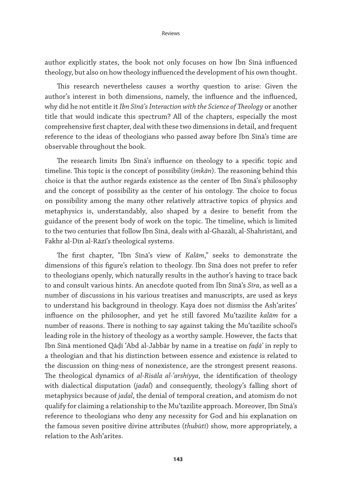author explicitly states, the book not only focuses on how Ibn Sīnā influenced theology, but also on how theology influenced the development of his own thought.

This research nevertheless causes a worthy question to arise: Given the author's interest in both dimensions, namely, the influence and the influenced, why did he not entitle it *Ibn Sīnā's Interaction with the Science of Theology* or another title that would indicate this spectrum? All of the chapters, especially the most comprehensive first chapter, deal with these two dimensions in detail, and frequent reference to the ideas of theologians who passed away before Ibn Sīnā's time are observable throughout the book.

The research limits Ibn Sīnā's influence on theology to a specific topic and timeline. This topic is the concept of possibility (*imkān*). The reasoning behind this choice is that the author regards existence as the center of Ibn Sīnā's philosophy and the concept of possibility as the center of his ontology. The choice to focus on possibility among the many other relatively attractive topics of physics and metaphysics is, understandably, also shaped by a desire to benefit from the guidance of the present body of work on the topic. The timeline, which is limited to the two centuries that follow Ibn Sīnā, deals with al-Ghazālī, al-Shahristānī, and Fakhr al-Dīn al-Rāzī's theological systems.

The first chapter, "Ibn Sīnā's view of *Kalām*," seeks to demonstrate the dimensions of this figure's relation to theology. Ibn Sīnā does not prefer to refer to theologians openly, which naturally results in the author's having to trace back to and consult various hints. An anecdote quoted from Ibn Sīnā's *Sīra*, as well as a number of discussions in his various treatises and manuscripts, are used as keys to understand his background in theology. Kaya does not dismiss the Ashʿarites' influence on the philosopher, and yet he still favored Muʿtazilite *kalām* for a number of reasons. There is nothing to say against taking the Muʿtazilite school's leading role in the history of theology as a worthy sample. However, the facts that Ibn Sīnā mentioned Qāḍī ʿAbd al-Jabbār by name in a treatise on *faḍāʾ* in reply to a theologian and that his distinction between essence and existence is related to the discussion on thing-ness of nonexistence, are the strongest present reasons. The theological dynamics of *al-Risāla al-ʿarshiyya*, the identification of theology with dialectical disputation (*jadal*) and consequently, theology's falling short of metaphysics because of *jadal*, the denial of temporal creation, and atomism do not qualify for claiming a relationship to the Muʿtazilite approach. Moreover, Ibn Sīnā's reference to theologians who deny any necessity for God and his explanation on the famous seven positive divine attributes (*thubūtī*) show, more appropriately, a relation to the Ashʿarites.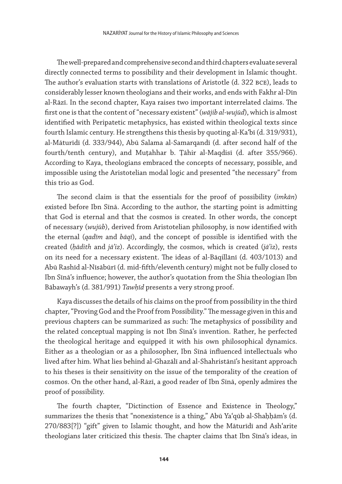The well-prepared and comprehensive second and third chapters evaluate several directly connected terms to possibility and their development in Islamic thought. The author's evaluation starts with translations of Aristotle (d. 322 bce), leads to considerably lesser known theologians and their works, and ends with Fakhr al-Dīn al-Rāzī. In the second chapter, Kaya raises two important interrelated claims. The first one is that the content of "necessary existent" (*wājib al-wujūd*), which is almost identified with Peripatetic metaphysics, has existed within theological texts since fourth Islamic century. He strengthens this thesis by quoting al-Kaʿbī (d. 319/931), al-Māturīdī (d. 333/944), Abū Salama al-Samarqandī (d. after second half of the fourth/tenth century), and Muṭahhar b. Ṭāhir al-Maqdisī (d. after 355/966). According to Kaya, theologians embraced the concepts of necessary, possible, and impossible using the Aristotelian modal logic and presented "the necessary" from this trio as God.

The second claim is that the essentials for the proof of possibility (*imkān*) existed before Ibn Sīnā. According to the author, the starting point is admitting that God is eternal and that the cosmos is created. In other words, the concept of necessary (*wujūb*), derived from Aristotelian philosophy, is now identified with the eternal (*qadīm* and *bāqī*), and the concept of possible is identified with the created (*ḥādith* and *jāʾiz*). Accordingly, the cosmos, which is created (*jāʾiz*), rests on its need for a necessary existent. The ideas of al-Bāqillānī (d. 403/1013) and Abū Rashīd al-Nīsābūrī (d. mid-fifth/eleventh century) might not be fully closed to Ibn Sīnā's influence; however, the author's quotation from the Shia theologian Ibn Bābawayh's (d. 381/991) *Tawḥīd* presents a very strong proof.

Kaya discusses the details of his claims on the proof from possibility in the third chapter, "Proving God and the Proof from Possibility." The message given in this and previous chapters can be summarized as such: The metaphysics of possibility and the related conceptual mapping is not Ibn Sīnā's invention. Rather, he perfected the theological heritage and equipped it with his own philosophical dynamics. Either as a theologian or as a philosopher, Ibn Sīnā influenced intellectuals who lived after him. What lies behind al-Ghazālī and al-Shahristānī's hesitant approach to his theses is their sensitivity on the issue of the temporality of the creation of cosmos. On the other hand, al-Rāzī, a good reader of Ibn Sīnā, openly admires the proof of possibility.

The fourth chapter, "Dictinction of Essence and Existence in Theology," summarizes the thesis that "nonexistence is a thing," Abū Yaʿqūb al-Shaḥḥām's (d. 270/883[?]) "gift" given to Islamic thought, and how the Māturīdī and Ashʿarite theologians later criticized this thesis. The chapter claims that Ibn Sīnā's ideas, in